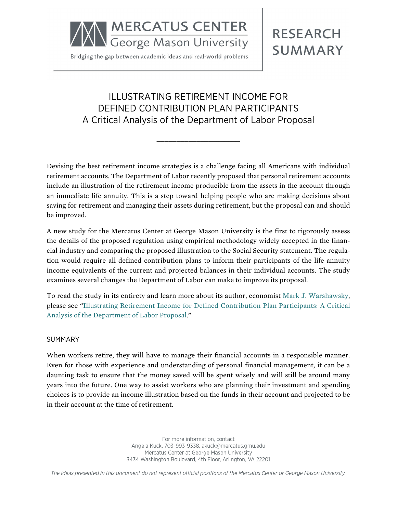

Bridging the gap between academic ideas and real-world problems

# **RESEARCH SUMMARY**

## ILLUSTRATING RETIREMENT INCOME FOR DEFINED CONTRIBUTION PLAN PARTICIPANTS A Critical Analysis of the Department of Labor Proposal

**\_\_\_\_\_\_\_\_\_\_\_\_\_\_\_\_\_\_\_\_\_**

Devising the best retirement income strategies is a challenge facing all Americans with individual retirement accounts. The Department of Labor recently proposed that personal retirement accounts include an illustration of the retirement income producible from the assets in the account through an immediate life annuity. This is a step toward helping people who are making decisions about saving for retirement and managing their assets during retirement, but the proposal can and should be improved.

A new study for the Mercatus Center at George Mason University is the first to rigorously assess the details of the proposed regulation using empirical methodology widely accepted in the financial industry and comparing the proposed illustration to the Social Security statement. The regulation would require all defined contribution plans to inform their participants of the life annuity income equivalents of the current and projected balances in their individual accounts. The study examines several changes the Department of Labor can make to improve its proposal.

To read the study in its entirety and learn more about its author, economist [Mark J. Warshawsky](http://mercatus.org/mark-j-warshawsky), please see "[Illustrating Retirement Income for Defined Contribution Plan Participants: A Critical](http://mercatus.org/publication/illustrating-retirement-income-defined-contribution-plan-participants-critical-analysis) [Analysis of the Department of Labor Proposal.](http://mercatus.org/publication/illustrating-retirement-income-defined-contribution-plan-participants-critical-analysis)"

#### SUMMARY

When workers retire, they will have to manage their financial accounts in a responsible manner. Even for those with experience and understanding of personal financial management, it can be a daunting task to ensure that the money saved will be spent wisely and will still be around many years into the future. One way to assist workers who are planning their investment and spending choices is to provide an income illustration based on the funds in their account and projected to be in their account at the time of retirement.

> For more information, contact Angela Kuck, 703-993-9338, akuck@mercatus.gmu.edu Mercatus Center at George Mason University 3434 Washington Boulevard, 4th Floor, Arlington, VA 22201

The ideas presented in this document do not represent official positions of the Mercatus Center or George Mason University.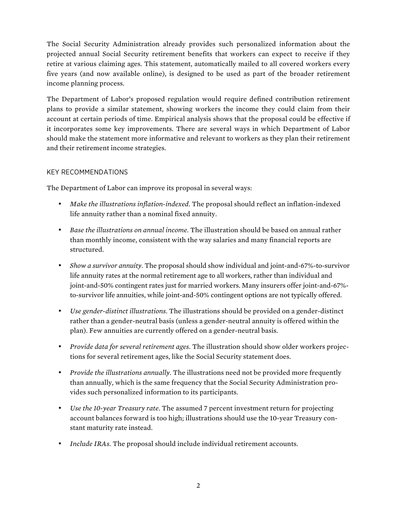The Social Security Administration already provides such personalized information about the projected annual Social Security retirement benefits that workers can expect to receive if they retire at various claiming ages. This statement, automatically mailed to all covered workers every five years (and now available online), is designed to be used as part of the broader retirement income planning process.

The Department of Labor's proposed regulation would require defined contribution retirement plans to provide a similar statement, showing workers the income they could claim from their account at certain periods of time. Empirical analysis shows that the proposal could be effective if it incorporates some key improvements. There are several ways in which Department of Labor should make the statement more informative and relevant to workers as they plan their retirement and their retirement income strategies.

### KEY RECOMMENDATIONS

The Department of Labor can improve its proposal in several ways:

- *Make the illustrations inflation-indexed.* The proposal should reflect an inflation-indexed life annuity rather than a nominal fixed annuity.
- *Base the illustrations on annual income.* The illustration should be based on annual rather than monthly income, consistent with the way salaries and many financial reports are structured.
- *Show a survivor annuity.* The proposal should show individual and joint-and-67%-to-survivor life annuity rates at the normal retirement age to all workers, rather than individual and joint-and-50% contingent rates just for married workers. Many insurers offer joint-and-67% to-survivor life annuities, while joint-and-50% contingent options are not typically offered.
- *Use gender-distinct illustrations.* The illustrations should be provided on a gender-distinct rather than a gender-neutral basis (unless a gender-neutral annuity is offered within the plan). Few annuities are currently offered on a gender-neutral basis.
- *Provide data for several retirement ages.* The illustration should show older workers projections for several retirement ages, like the Social Security statement does.
- *Provide the illustrations annually.* The illustrations need not be provided more frequently than annually, which is the same frequency that the Social Security Administration provides such personalized information to its participants.
- *Use the 10-year Treasury rate.* The assumed 7 percent investment return for projecting account balances forward is too high; illustrations should use the 10-year Treasury constant maturity rate instead.
- *Include IRAs.* The proposal should include individual retirement accounts.